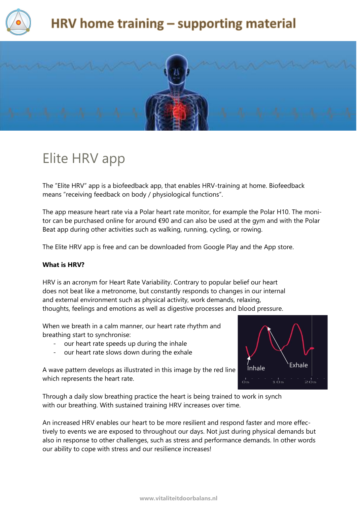



### Elite HRV app

The "Elite HRV" app is a biofeedback app, that enables HRV-training at home. Biofeedback means "receiving feedback on body / physiological functions".

The app measure heart rate via a Polar heart rate monitor, for example the Polar H10. The monitor can be purchased online for around €90 and can also be used at the gym and with the Polar Beat app during other activities such as walking, running, cycling, or rowing.

The Elite HRV app is free and can be downloaded from Google Play and the App store.

#### **What is HRV?**

HRV is an acronym for Heart Rate Variability. Contrary to popular belief our heart does not beat like a metronome, but constantly responds to changes in our internal and external environment such as physical activity, work demands, relaxing, thoughts, feelings and emotions as well as digestive processes and blood pressure.

When we breath in a calm manner, our heart rate rhythm and breathing start to synchronise:

- our heart rate speeds up during the inhale
- our heart rate slows down during the exhale



A wave pattern develops as illustrated in this image by the red line which represents the heart rate.

Through a daily slow breathing practice the heart is being trained to work in synch with our breathing. With sustained training HRV increases over time.

An increased HRV enables our heart to be more resilient and respond faster and more effectively to events we are exposed to throughout our days. Not just during physical demands but also in response to other challenges, such as stress and performance demands. In other words our ability to cope with stress and our resilience increases!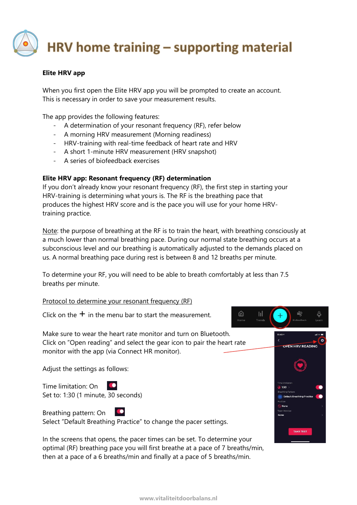#### **Elite HRV app**

When you first open the Elite HRV app you will be prompted to create an account. This is necessary in order to save your measurement results.

The app provides the following features:

- A determination of your resonant frequency (RF), refer below
- A morning HRV measurement (Morning readiness)
- HRV-training with real-time feedback of heart rate and HRV
- A short 1-minute HRV measurement (HRV snapshot)
- A series of biofeedback exercises

#### **Elite HRV app: Resonant frequency (RF) determination**

If you don't already know your resonant frequency (RF), the first step in starting your HRV-training is determining what yours is. The RF is the breathing pace that produces the highest HRV score and is the pace you will use for your home HRVtraining practice.

Note: the purpose of breathing at the RF is to train the heart, with breathing consciously at a much lower than normal breathing pace. During our normal state breathing occurs at a subconscious level and our breathing is automatically adjusted to the demands placed on us. A normal breathing pace during rest is between 8 and 12 breaths per minute.

To determine your RF, you will need to be able to breath comfortably at less than 7.5 breaths per minute.

Protocol to determine your resonant frequency (RF)

Click on the  $+$  in the menu bar to start the measurement.

Make sure to wear the heart rate monitor and turn on Bluetooth. Click on "Open reading" and select the gear icon to pair the heart rate monitor with the app (via Connect HR monitor).

Adjust the settings as follows:

Time limitation: On Set to: 1:30 (1 minute, 30 seconds)

Breathing pattern: On  $\bullet$ Select "Default Breathing Practice" to change the pacer settings.

In the screens that opens, the pacer times can be set. To determine your optimal (RF) breathing pace you will first breathe at a pace of 7 breaths/min, then at a pace of a 6 breaths/min and finally at a pace of 5 breaths/min.



⋒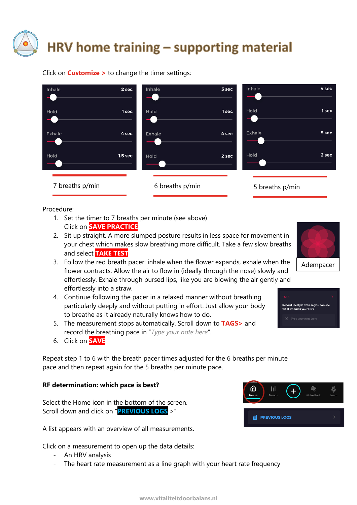Click on **Customize >** to change the timer settings:



Procedure:

- 1. Set the timer to 7 breaths per minute (see above) Click on **SAVE PRACTICE**
- 2. Sit up straight. A more slumped posture results in less space for movement in your chest which makes slow breathing more difficult. Take a few slow breaths and select **TAKE TEST**
- 3. Follow the red breath pacer: inhale when the flower expands, exhale when the flower contracts. Allow the air to flow in (ideally through the nose) slowly and effortlessly. Exhale through pursed lips, like you are blowing the air gently and effortlessly into a straw.
- 4. Continue following the pacer in a relaxed manner without breathing particularly deeply and without putting in effort. Just allow your body to breathe as it already naturally knows how to do.
- 5. The measurement stops automatically. Scroll down to **TAGS>** and record the breathing pace in "*Type your note here*".
- 6. Click on **SAVE**

Repeat step 1 to 6 with the breath pacer times adjusted for the 6 breaths per minute pace and then repeat again for the 5 breaths per minute pace.

#### **RF determination: which pace is best?**

Select the Home icon in the bottom of the screen. Scroll down and click on "**PREVIOUS LOGS** >"

A list appears with an overview of all measurements.

Click on a measurement to open up the data details:

- An HRV analysis
- The heart rate measurement as a line graph with your heart rate frequency





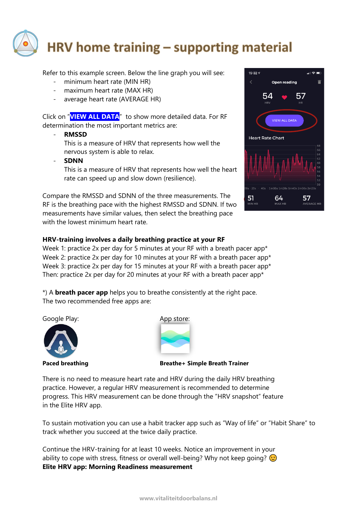

Refer to this example screen. Below the line graph you will see:

- minimum heart rate (MIN HR)
- maximum heart rate (MAX HR)
- average heart rate (AVERAGE HR)

Click on "**VIEW ALL DATA**" to show more detailed data. For RF determination the most important metrics are:

- **RMSSD**

This is a measure of HRV that represents how well the nervous system is able to relax.

- **SDNN**

This is a measure of HRV that represents how well the heart rate can speed up and slow down (resilience).

Compare the RMSSD and SDNN of the three measurements. The RF is the breathing pace with the highest RMSSD and SDNN. If two measurements have similar values, then select the breathing pace with the lowest minimum heart rate.



#### **HRV-training involves a daily breathing practice at your RF**

Week 1: practice 2x per day for 5 minutes at your RF with a breath pacer app<sup>\*</sup> Week 2: practice 2x per day for 10 minutes at your RF with a breath pacer app<sup>\*</sup> Week 3: practice 2x per day for 15 minutes at your RF with a breath pacer app<sup>\*</sup> Then: practice 2x per day for 20 minutes at your RF with a breath pacer app\*

\*) A **breath pacer app** helps you to breathe consistently at the right pace. The two recommended free apps are:

Google Play: The Coogle Play: App store:





Paced breathing **Breathet Simple Breath Trainer** 

There is no need to measure heart rate and HRV during the daily HRV breathing practice. However, a regular HRV measurement is recommended to determine progress. This HRV measurement can be done through the "HRV snapshot" feature in the Elite HRV app.

To sustain motivation you can use a habit tracker app such as "Way of life" or "Habit Share" to track whether you succeed at the twice daily practice.

Continue the HRV-training for at least 10 weeks. Notice an improvement in your ability to cope with stress, fitness or overall well-being? Why not keep going?  $\odot$ **Elite HRV app: Morning Readiness measurement**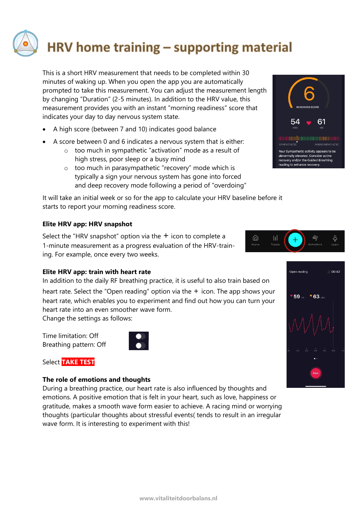This is a short HRV measurement that needs to be completed within 30 minutes of waking up. When you open the app you are automatically prompted to take this measurement. You can adjust the measurement length by changing "Duration" (2-5 minutes). In addition to the HRV value, this measurement provides you with an instant "morning readiness" score that indicates your day to day nervous system state.

- A high score (between 7 and 10) indicates good balance
- A score between 0 and 6 indicates a nervous system that is either:
	- o too much in sympathetic "activation" mode as a result of high stress, poor sleep or a busy mind
	- o too much in parasympathetic "recovery" mode which is typically a sign your nervous system has gone into forced and deep recovery mode following a period of "overdoing"

It will take an initial week or so for the app to calculate your HRV baseline before it starts to report your morning readiness score.

#### **Elite HRV app: HRV snapshot**

Select the "HRV snapshot" option via the  $+$  icon to complete a 1-minute measurement as a progress evaluation of the HRV-training. For example, once every two weeks.

#### **Elite HRV app: train with heart rate**

In addition to the daily RF breathing practice, it is useful to also train based on heart rate. Select the "Open reading" option via the  $+$  icon. The app shows your heart rate, which enables you to experiment and find out how you can turn your heart rate into an even smoother wave form.

Change the settings as follows:

Time limitation: Off Breathing pattern: Off



Select **TAKE TEST**

#### **The role of emotions and thoughts**

During a breathing practice, our heart rate is also influenced by thoughts and emotions. A positive emotion that is felt in your heart, such as love, happiness or gratitude, makes a smooth wave form easier to achieve. A racing mind or worrying thoughts (particular thoughts about stressful events( tends to result in an irregular wave form. It is interesting to experiment with this!